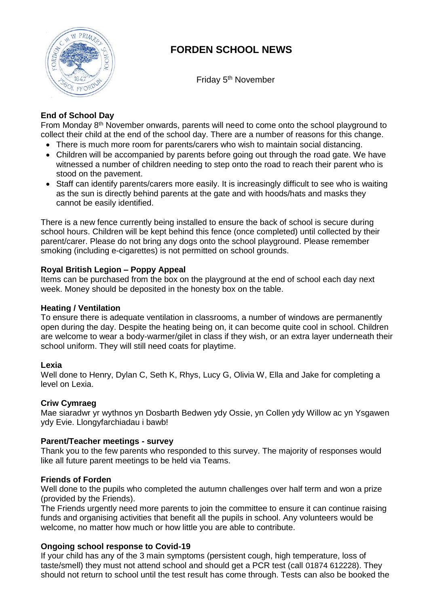

# **FORDEN SCHOOL NEWS**

Friday 5<sup>th</sup> November

## **End of School Day**

From Monday 8th November onwards, parents will need to come onto the school playground to collect their child at the end of the school day. There are a number of reasons for this change.

- There is much more room for parents/carers who wish to maintain social distancing.
- Children will be accompanied by parents before going out through the road gate. We have witnessed a number of children needing to step onto the road to reach their parent who is stood on the pavement.
- Staff can identify parents/carers more easily. It is increasingly difficult to see who is waiting as the sun is directly behind parents at the gate and with hoods/hats and masks they cannot be easily identified.

There is a new fence currently being installed to ensure the back of school is secure during school hours. Children will be kept behind this fence (once completed) until collected by their parent/carer. Please do not bring any dogs onto the school playground. Please remember smoking (including e-cigarettes) is not permitted on school grounds.

### **Royal British Legion – Poppy Appeal**

Items can be purchased from the box on the playground at the end of school each day next week. Money should be deposited in the honesty box on the table.

## **Heating / Ventilation**

To ensure there is adequate ventilation in classrooms, a number of windows are permanently open during the day. Despite the heating being on, it can become quite cool in school. Children are welcome to wear a body-warmer/gilet in class if they wish, or an extra layer underneath their school uniform. They will still need coats for playtime.

## **Lexia**

Well done to Henry, Dylan C, Seth K, Rhys, Lucy G, Olivia W, Ella and Jake for completing a level on Lexia.

## **Criw Cymraeg**

Mae siaradwr yr wythnos yn Dosbarth Bedwen ydy Ossie, yn Collen ydy Willow ac yn Ysgawen ydy Evie. Llongyfarchiadau i bawb!

#### **Parent/Teacher meetings - survey**

Thank you to the few parents who responded to this survey. The majority of responses would like all future parent meetings to be held via Teams.

#### **Friends of Forden**

Well done to the pupils who completed the autumn challenges over half term and won a prize (provided by the Friends).

The Friends urgently need more parents to join the committee to ensure it can continue raising funds and organising activities that benefit all the pupils in school. Any volunteers would be welcome, no matter how much or how little you are able to contribute.

## **Ongoing school response to Covid-19**

If your child has any of the 3 main symptoms (persistent cough, high temperature, loss of taste/smell) they must not attend school and should get a PCR test (call 01874 612228). They should not return to school until the test result has come through. Tests can also be booked the